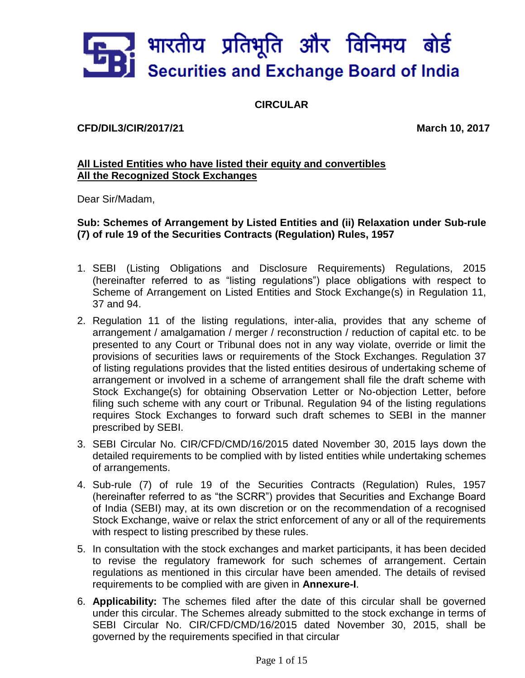

**CIRCULAR**

**CFD/DIL3/CIR/2017/21 March 10, 2017**

# **All Listed Entities who have listed their equity and convertibles All the Recognized Stock Exchanges**

Dear Sir/Madam,

**Sub: Schemes of Arrangement by Listed Entities and (ii) Relaxation under Sub-rule (7) of rule 19 of the Securities Contracts (Regulation) Rules, 1957**

- 1. SEBI (Listing Obligations and Disclosure Requirements) Regulations, 2015 (hereinafter referred to as "listing regulations") place obligations with respect to Scheme of Arrangement on Listed Entities and Stock Exchange(s) in Regulation 11, 37 and 94.
- 2. Regulation 11 of the listing regulations, inter-alia, provides that any scheme of arrangement / amalgamation / merger / reconstruction / reduction of capital etc. to be presented to any Court or Tribunal does not in any way violate, override or limit the provisions of securities laws or requirements of the Stock Exchanges. Regulation 37 of listing regulations provides that the listed entities desirous of undertaking scheme of arrangement or involved in a scheme of arrangement shall file the draft scheme with Stock Exchange(s) for obtaining Observation Letter or No-objection Letter, before filing such scheme with any court or Tribunal. Regulation 94 of the listing regulations requires Stock Exchanges to forward such draft schemes to SEBI in the manner prescribed by SEBI.
- 3. SEBI Circular No. CIR/CFD/CMD/16/2015 dated November 30, 2015 lays down the detailed requirements to be complied with by listed entities while undertaking schemes of arrangements.
- 4. Sub-rule (7) of rule 19 of the Securities Contracts (Regulation) Rules, 1957 (hereinafter referred to as "the SCRR") provides that Securities and Exchange Board of India (SEBI) may, at its own discretion or on the recommendation of a recognised Stock Exchange, waive or relax the strict enforcement of any or all of the requirements with respect to listing prescribed by these rules.
- 5. In consultation with the stock exchanges and market participants, it has been decided to revise the regulatory framework for such schemes of arrangement. Certain regulations as mentioned in this circular have been amended. The details of revised requirements to be complied with are given in **Annexure-I**.
- 6. **Applicability:** The schemes filed after the date of this circular shall be governed under this circular. The Schemes already submitted to the stock exchange in terms of SEBI Circular No. CIR/CFD/CMD/16/2015 dated November 30, 2015, shall be governed by the requirements specified in that circular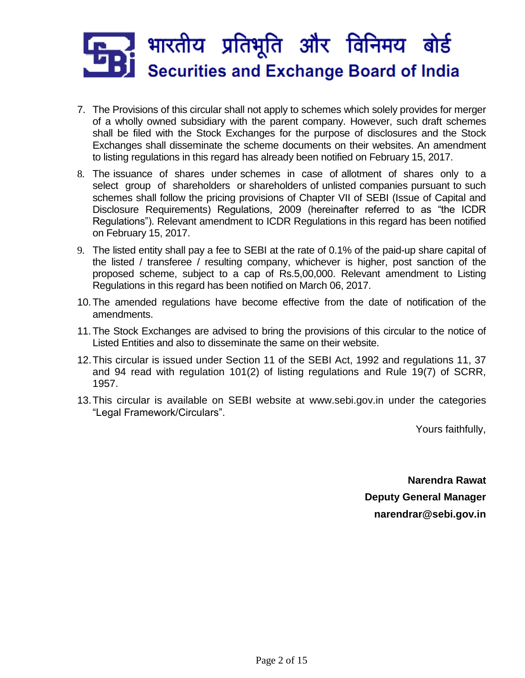

- 7. The Provisions of this circular shall not apply to schemes which solely provides for merger of a wholly owned subsidiary with the parent company. However, such draft schemes shall be filed with the Stock Exchanges for the purpose of disclosures and the Stock Exchanges shall disseminate the scheme documents on their websites. An amendment to listing regulations in this regard has already been notified on February 15, 2017.
- 8. The issuance of shares under schemes in case of allotment of shares only to a select group of shareholders or shareholders of unlisted companies pursuant to such schemes shall follow the pricing provisions of Chapter VII of SEBI (Issue of Capital and Disclosure Requirements) Regulations, 2009 (hereinafter referred to as "the ICDR Regulations"). Relevant amendment to ICDR Regulations in this regard has been notified on February 15, 2017.
- 9. The listed entity shall pay a fee to SEBI at the rate of 0.1% of the paid-up share capital of the listed / transferee / resulting company, whichever is higher, post sanction of the proposed scheme, subject to a cap of Rs.5,00,000. Relevant amendment to Listing Regulations in this regard has been notified on March 06, 2017.
- 10.The amended regulations have become effective from the date of notification of the amendments.
- 11.The Stock Exchanges are advised to bring the provisions of this circular to the notice of Listed Entities and also to disseminate the same on their website.
- 12.This circular is issued under Section 11 of the SEBI Act, 1992 and regulations 11, 37 and 94 read with regulation 101(2) of listing regulations and Rule 19(7) of SCRR, 1957.
- 13.This circular is available on SEBI website at [www.sebi.gov.in](https://www.sebi.gov.in/) under the categories "Legal Framework/Circulars".

Yours faithfully,

**Narendra Rawat Deputy General Manager narendrar@sebi.gov.in**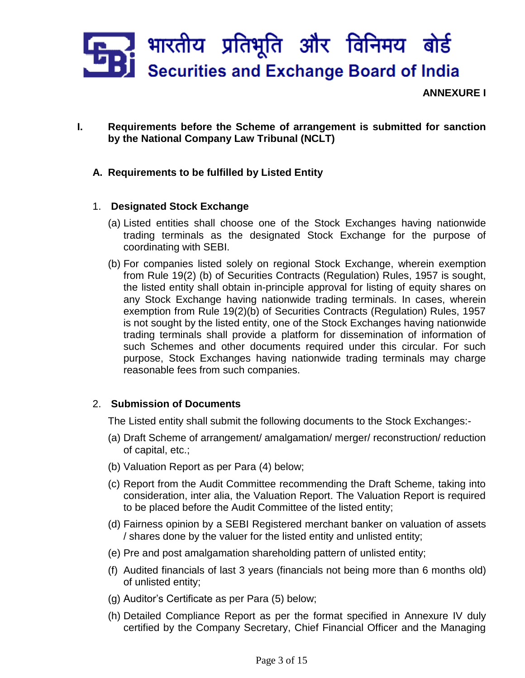

**ANNEXURE I**

- **I. Requirements before the Scheme of arrangement is submitted for sanction by the National Company Law Tribunal (NCLT)**
	- **A. Requirements to be fulfilled by Listed Entity**

## 1. **Designated Stock Exchange**

- (a) Listed entities shall choose one of the Stock Exchanges having nationwide trading terminals as the designated Stock Exchange for the purpose of coordinating with SEBI.
- (b) For companies listed solely on regional Stock Exchange, wherein exemption from Rule 19(2) (b) of Securities Contracts (Regulation) Rules, 1957 is sought, the listed entity shall obtain in-principle approval for listing of equity shares on any Stock Exchange having nationwide trading terminals. In cases, wherein exemption from Rule 19(2)(b) of Securities Contracts (Regulation) Rules, 1957 is not sought by the listed entity, one of the Stock Exchanges having nationwide trading terminals shall provide a platform for dissemination of information of such Schemes and other documents required under this circular. For such purpose, Stock Exchanges having nationwide trading terminals may charge reasonable fees from such companies.

# 2. **Submission of Documents**

The Listed entity shall submit the following documents to the Stock Exchanges:-

- (a) Draft Scheme of arrangement/ amalgamation/ merger/ reconstruction/ reduction of capital, etc.;
- (b) Valuation Report as per Para (4) below;
- (c) Report from the Audit Committee recommending the Draft Scheme, taking into consideration, inter alia, the Valuation Report. The Valuation Report is required to be placed before the Audit Committee of the listed entity;
- (d) Fairness opinion by a SEBI Registered merchant banker on valuation of assets / shares done by the valuer for the listed entity and unlisted entity;
- (e) Pre and post amalgamation shareholding pattern of unlisted entity;
- (f) Audited financials of last 3 years (financials not being more than 6 months old) of unlisted entity;
- (g) Auditor's Certificate as per Para (5) below;
- (h) Detailed Compliance Report as per the format specified in Annexure IV duly certified by the Company Secretary, Chief Financial Officer and the Managing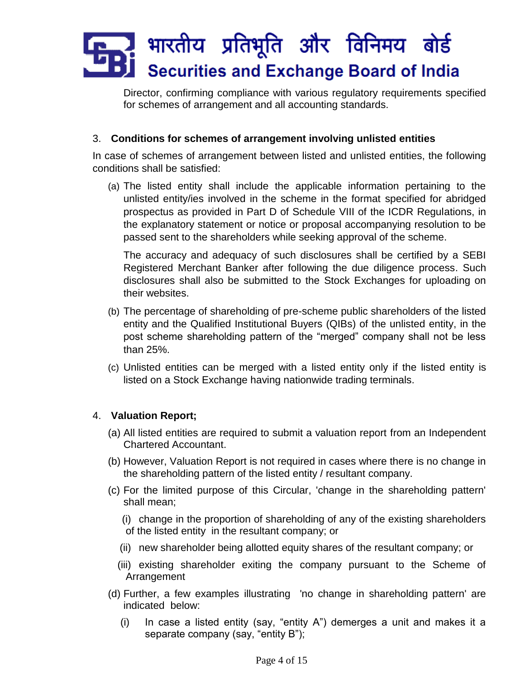Director, confirming compliance with various regulatory requirements specified for schemes of arrangement and all accounting standards.

# 3. **Conditions for schemes of arrangement involving unlisted entities**

In case of schemes of arrangement between listed and unlisted entities, the following conditions shall be satisfied:

(a) The listed entity shall include the applicable information pertaining to the unlisted entity/ies involved in the scheme in the format specified for abridged prospectus as provided in Part D of Schedule VIII of the ICDR Regulations, in the explanatory statement or notice or proposal accompanying resolution to be passed sent to the shareholders while seeking approval of the scheme.

The accuracy and adequacy of such disclosures shall be certified by a SEBI Registered Merchant Banker after following the due diligence process. Such disclosures shall also be submitted to the Stock Exchanges for uploading on their websites.

- (b) The percentage of shareholding of pre-scheme public shareholders of the listed entity and the Qualified Institutional Buyers (QIBs) of the unlisted entity, in the post scheme shareholding pattern of the "merged" company shall not be less than 25%.
- (c) Unlisted entities can be merged with a listed entity only if the listed entity is listed on a Stock Exchange having nationwide trading terminals.

## 4. **Valuation Report;**

- (a) All listed entities are required to submit a valuation report from an Independent Chartered Accountant.
- (b) However, Valuation Report is not required in cases where there is no change in the shareholding pattern of the listed entity / resultant company.
- (c) For the limited purpose of this Circular, 'change in the shareholding pattern' shall mean;
	- (i) change in the proportion of shareholding of any of the existing shareholders of the listed entity in the resultant company; or
	- (ii) new shareholder being allotted equity shares of the resultant company; or
	- (iii) existing shareholder exiting the company pursuant to the Scheme of Arrangement
- (d) Further, a few examples illustrating 'no change in shareholding pattern' are indicated below:
	- (i) In case a listed entity (say, "entity A") demerges a unit and makes it a separate company (say, "entity B");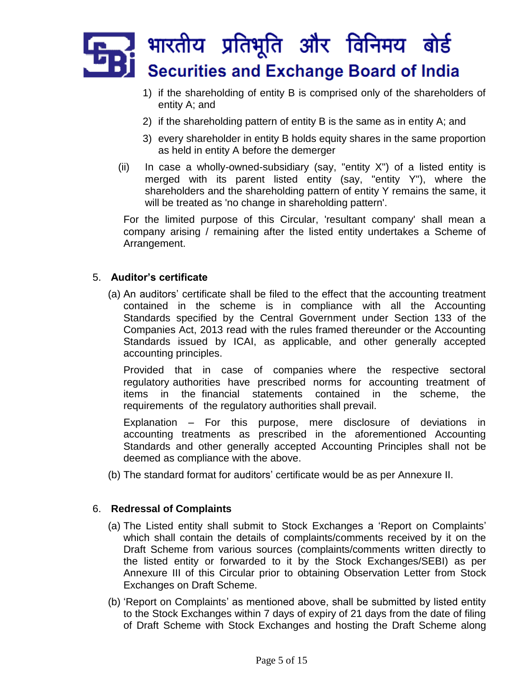- 1) if the shareholding of entity B is comprised only of the shareholders of entity A; and
- 2) if the shareholding pattern of entity B is the same as in entity A; and
- 3) every shareholder in entity B holds equity shares in the same proportion as held in entity A before the demerger
- (ii) In case a wholly-owned-subsidiary (say, "entity  $X$ ") of a listed entity is merged with its parent listed entity (say, "entity Y"), where the shareholders and the shareholding pattern of entity Y remains the same, it will be treated as 'no change in shareholding pattern'.

For the limited purpose of this Circular, 'resultant company' shall mean a company arising / remaining after the listed entity undertakes a Scheme of Arrangement.

# 5. **Auditor's certificate**

(a) An auditors' certificate shall be filed to the effect that the accounting treatment contained in the scheme is in compliance with all the Accounting Standards specified by the Central Government under Section 133 of the Companies Act, 2013 read with the rules framed thereunder or the Accounting Standards issued by ICAI, as applicable, and other generally accepted accounting principles.

Provided that in case of companies where the respective sectoral regulatory authorities have prescribed norms for accounting treatment of items in the financial statements contained in the scheme, the requirements of the regulatory authorities shall prevail.

Explanation – For this purpose, mere disclosure of deviations in accounting treatments as prescribed in the aforementioned Accounting Standards and other generally accepted Accounting Principles shall not be deemed as compliance with the above.

(b) The standard format for auditors' certificate would be as per Annexure II.

## 6. **Redressal of Complaints**

- (a) The Listed entity shall submit to Stock Exchanges a 'Report on Complaints' which shall contain the details of complaints/comments received by it on the Draft Scheme from various sources (complaints/comments written directly to the listed entity or forwarded to it by the Stock Exchanges/SEBI) as per Annexure III of this Circular prior to obtaining Observation Letter from Stock Exchanges on Draft Scheme.
- (b) 'Report on Complaints' as mentioned above, shall be submitted by listed entity to the Stock Exchanges within 7 days of expiry of 21 days from the date of filing of Draft Scheme with Stock Exchanges and hosting the Draft Scheme along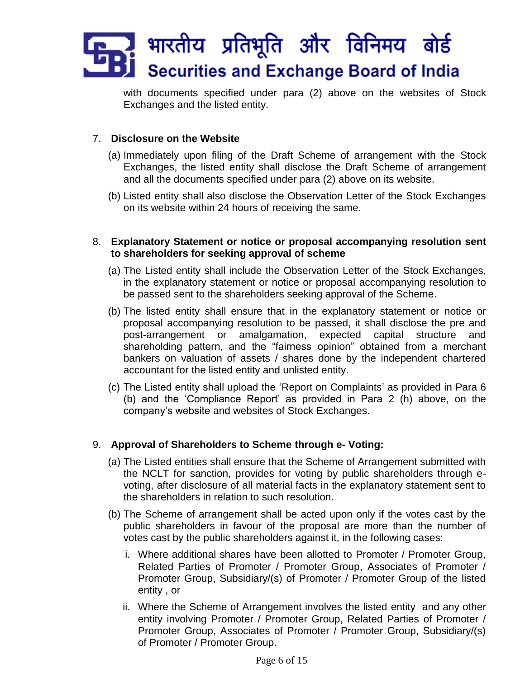with documents specified under para (2) above on the websites of Stock Exchanges and the listed entity.

# 7. **Disclosure on the Website**

- (a) Immediately upon filing of the Draft Scheme of arrangement with the Stock Exchanges, the listed entity shall disclose the Draft Scheme of arrangement and all the documents specified under para (2) above on its website.
- (b) Listed entity shall also disclose the Observation Letter of the Stock Exchanges on its website within 24 hours of receiving the same.
- 8. **Explanatory Statement or notice or proposal accompanying resolution sent to shareholders for seeking approval of scheme** 
	- (a) The Listed entity shall include the Observation Letter of the Stock Exchanges, in the explanatory statement or notice or proposal accompanying resolution to be passed sent to the shareholders seeking approval of the Scheme.
	- (b) The listed entity shall ensure that in the explanatory statement or notice or proposal accompanying resolution to be passed, it shall disclose the pre and post-arrangement or amalgamation, expected capital structure and shareholding pattern, and the "fairness opinion" obtained from a merchant bankers on valuation of assets / shares done by the independent chartered accountant for the listed entity and unlisted entity.
	- (c) The Listed entity shall upload the 'Report on Complaints' as provided in Para 6 (b) and the 'Compliance Report' as provided in Para 2 (h) above, on the company's website and websites of Stock Exchanges.

# 9. **Approval of Shareholders to Scheme through e- Voting:**

- (a) The Listed entities shall ensure that the Scheme of Arrangement submitted with the NCLT for sanction, provides for voting by public shareholders through evoting, after disclosure of all material facts in the explanatory statement sent to the shareholders in relation to such resolution.
- (b) The Scheme of arrangement shall be acted upon only if the votes cast by the public shareholders in favour of the proposal are more than the number of votes cast by the public shareholders against it, in the following cases:
	- i. Where additional shares have been allotted to Promoter / Promoter Group, Related Parties of Promoter / Promoter Group, Associates of Promoter / Promoter Group, Subsidiary/(s) of Promoter / Promoter Group of the listed entity , or
	- ii. Where the Scheme of Arrangement involves the listed entity and any other entity involving Promoter / Promoter Group, Related Parties of Promoter / Promoter Group, Associates of Promoter / Promoter Group, Subsidiary/(s) of Promoter / Promoter Group.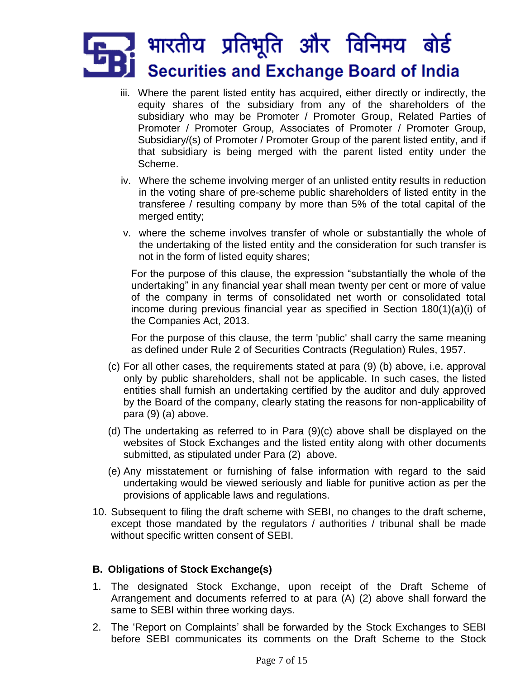- iii. Where the parent listed entity has acquired, either directly or indirectly, the equity shares of the subsidiary from any of the shareholders of the subsidiary who may be Promoter / Promoter Group, Related Parties of Promoter / Promoter Group, Associates of Promoter / Promoter Group, Subsidiary/(s) of Promoter / Promoter Group of the parent listed entity, and if that subsidiary is being merged with the parent listed entity under the Scheme.
- iv. Where the scheme involving merger of an unlisted entity results in reduction in the voting share of pre-scheme public shareholders of listed entity in the transferee / resulting company by more than 5% of the total capital of the merged entity;
- v. where the scheme involves transfer of whole or substantially the whole of the undertaking of the listed entity and the consideration for such transfer is not in the form of listed equity shares;

For the purpose of this clause, the expression "substantially the whole of the undertaking" in any financial year shall mean twenty per cent or more of value of the company in terms of consolidated net worth or consolidated total income during previous financial year as specified in Section 180(1)(a)(i) of the Companies Act, 2013.

For the purpose of this clause, the term 'public' shall carry the same meaning as defined under Rule 2 of Securities Contracts (Regulation) Rules, 1957.

- (c) For all other cases, the requirements stated at para (9) (b) above, i.e. approval only by public shareholders, shall not be applicable. In such cases, the listed entities shall furnish an undertaking certified by the auditor and duly approved by the Board of the company, clearly stating the reasons for non-applicability of para (9) (a) above.
- (d) The undertaking as referred to in Para (9)(c) above shall be displayed on the websites of Stock Exchanges and the listed entity along with other documents submitted, as stipulated under Para (2) above.
- (e) Any misstatement or furnishing of false information with regard to the said undertaking would be viewed seriously and liable for punitive action as per the provisions of applicable laws and regulations.
- 10. Subsequent to filing the draft scheme with SEBI, no changes to the draft scheme, except those mandated by the regulators / authorities / tribunal shall be made without specific written consent of SEBI.

## **B. Obligations of Stock Exchange(s)**

- 1. The designated Stock Exchange, upon receipt of the Draft Scheme of Arrangement and documents referred to at para (A) (2) above shall forward the same to SEBI within three working days.
- 2. The 'Report on Complaints' shall be forwarded by the Stock Exchanges to SEBI before SEBI communicates its comments on the Draft Scheme to the Stock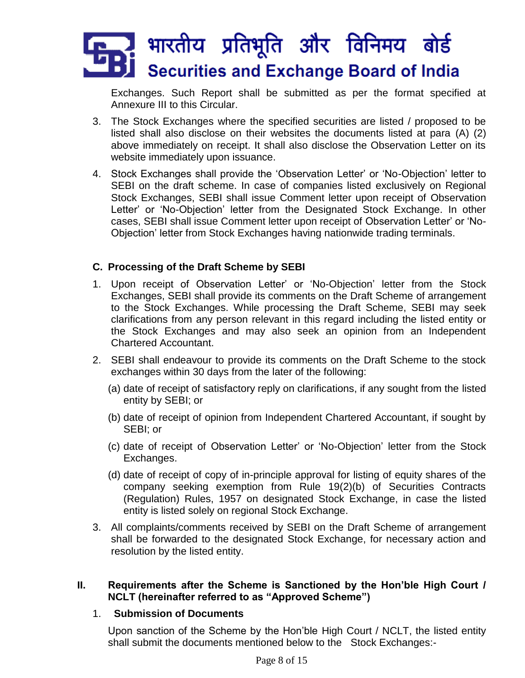Exchanges. Such Report shall be submitted as per the format specified at Annexure III to this Circular.

- 3. The Stock Exchanges where the specified securities are listed / proposed to be listed shall also disclose on their websites the documents listed at para (A) (2) above immediately on receipt. It shall also disclose the Observation Letter on its website immediately upon issuance.
- 4. Stock Exchanges shall provide the 'Observation Letter' or 'No-Objection' letter to SEBI on the draft scheme. In case of companies listed exclusively on Regional Stock Exchanges, SEBI shall issue Comment letter upon receipt of Observation Letter' or 'No-Objection' letter from the Designated Stock Exchange. In other cases, SEBI shall issue Comment letter upon receipt of Observation Letter' or 'No-Objection' letter from Stock Exchanges having nationwide trading terminals.

# **C. Processing of the Draft Scheme by SEBI**

- 1. Upon receipt of Observation Letter' or 'No-Objection' letter from the Stock Exchanges, SEBI shall provide its comments on the Draft Scheme of arrangement to the Stock Exchanges. While processing the Draft Scheme, SEBI may seek clarifications from any person relevant in this regard including the listed entity or the Stock Exchanges and may also seek an opinion from an Independent Chartered Accountant.
- 2. SEBI shall endeavour to provide its comments on the Draft Scheme to the stock exchanges within 30 days from the later of the following:
	- (a) date of receipt of satisfactory reply on clarifications, if any sought from the listed entity by SEBI; or
	- (b) date of receipt of opinion from Independent Chartered Accountant, if sought by SEBI; or
	- (c) date of receipt of Observation Letter' or 'No-Objection' letter from the Stock Exchanges.
	- (d) date of receipt of copy of in-principle approval for listing of equity shares of the company seeking exemption from Rule 19(2)(b) of Securities Contracts (Regulation) Rules, 1957 on designated Stock Exchange, in case the listed entity is listed solely on regional Stock Exchange.
- 3. All complaints/comments received by SEBI on the Draft Scheme of arrangement shall be forwarded to the designated Stock Exchange, for necessary action and resolution by the listed entity.

## **II. Requirements after the Scheme is Sanctioned by the Hon'ble High Court / NCLT (hereinafter referred to as "Approved Scheme")**

## 1. **Submission of Documents**

Upon sanction of the Scheme by the Hon'ble High Court / NCLT, the listed entity shall submit the documents mentioned below to the Stock Exchanges:-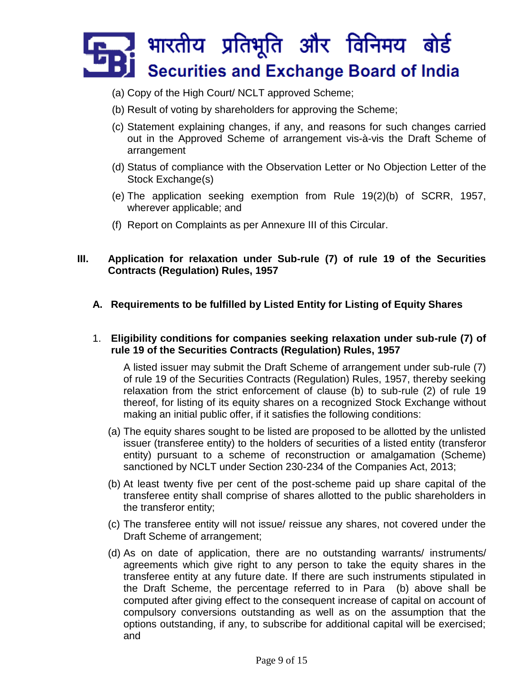- (a) Copy of the High Court/ NCLT approved Scheme;
- (b) Result of voting by shareholders for approving the Scheme;
- (c) Statement explaining changes, if any, and reasons for such changes carried out in the Approved Scheme of arrangement vis-à-vis the Draft Scheme of arrangement
- (d) Status of compliance with the Observation Letter or No Objection Letter of the Stock Exchange(s)
- (e) The application seeking exemption from Rule 19(2)(b) of SCRR, 1957, wherever applicable; and
- (f) Report on Complaints as per Annexure III of this Circular.

# **III. Application for relaxation under Sub-rule (7) of rule 19 of the Securities Contracts (Regulation) Rules, 1957**

**A. Requirements to be fulfilled by Listed Entity for Listing of Equity Shares**

#### 1. **Eligibility conditions for companies seeking relaxation under sub-rule (7) of rule 19 of the Securities Contracts (Regulation) Rules, 1957**

A listed issuer may submit the Draft Scheme of arrangement under sub-rule (7) of rule 19 of the Securities Contracts (Regulation) Rules, 1957, thereby seeking relaxation from the strict enforcement of clause (b) to sub-rule (2) of rule 19 thereof, for listing of its equity shares on a recognized Stock Exchange without making an initial public offer, if it satisfies the following conditions:

- (a) The equity shares sought to be listed are proposed to be allotted by the unlisted issuer (transferee entity) to the holders of securities of a listed entity (transferor entity) pursuant to a scheme of reconstruction or amalgamation (Scheme) sanctioned by NCLT under Section 230-234 of the Companies Act, 2013;
- (b) At least twenty five per cent of the post-scheme paid up share capital of the transferee entity shall comprise of shares allotted to the public shareholders in the transferor entity;
- (c) The transferee entity will not issue/ reissue any shares, not covered under the Draft Scheme of arrangement;
- (d) As on date of application, there are no outstanding warrants/ instruments/ agreements which give right to any person to take the equity shares in the transferee entity at any future date. If there are such instruments stipulated in the Draft Scheme, the percentage referred to in Para (b) above shall be computed after giving effect to the consequent increase of capital on account of compulsory conversions outstanding as well as on the assumption that the options outstanding, if any, to subscribe for additional capital will be exercised; and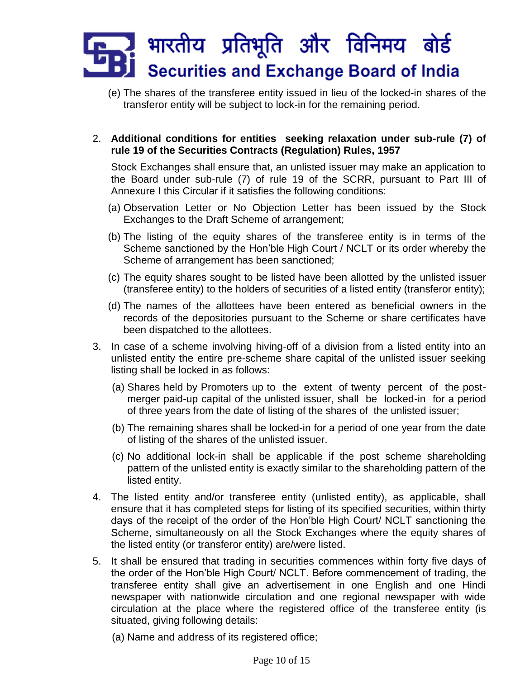(e) The shares of the transferee entity issued in lieu of the locked-in shares of the transferor entity will be subject to lock-in for the remaining period.

# 2. **Additional conditions for entities seeking relaxation under sub-rule (7) of rule 19 of the Securities Contracts (Regulation) Rules, 1957**

Stock Exchanges shall ensure that, an unlisted issuer may make an application to the Board under sub-rule (7) of rule 19 of the SCRR, pursuant to Part III of Annexure I this Circular if it satisfies the following conditions:

- (a) Observation Letter or No Objection Letter has been issued by the Stock Exchanges to the Draft Scheme of arrangement;
- (b) The listing of the equity shares of the transferee entity is in terms of the Scheme sanctioned by the Hon'ble High Court / NCLT or its order whereby the Scheme of arrangement has been sanctioned;
- (c) The equity shares sought to be listed have been allotted by the unlisted issuer (transferee entity) to the holders of securities of a listed entity (transferor entity);
- (d) The names of the allottees have been entered as beneficial owners in the records of the depositories pursuant to the Scheme or share certificates have been dispatched to the allottees.
- 3. In case of a scheme involving hiving-off of a division from a listed entity into an unlisted entity the entire pre-scheme share capital of the unlisted issuer seeking listing shall be locked in as follows:
	- (a) Shares held by Promoters up to the extent of twenty percent of the postmerger paid-up capital of the unlisted issuer, shall be locked-in for a period of three years from the date of listing of the shares of the unlisted issuer;
	- (b) The remaining shares shall be locked-in for a period of one year from the date of listing of the shares of the unlisted issuer.
	- (c) No additional lock-in shall be applicable if the post scheme shareholding pattern of the unlisted entity is exactly similar to the shareholding pattern of the listed entity.
- 4. The listed entity and/or transferee entity (unlisted entity), as applicable, shall ensure that it has completed steps for listing of its specified securities, within thirty days of the receipt of the order of the Hon'ble High Court/ NCLT sanctioning the Scheme, simultaneously on all the Stock Exchanges where the equity shares of the listed entity (or transferor entity) are/were listed.
- 5. It shall be ensured that trading in securities commences within forty five days of the order of the Hon'ble High Court/ NCLT. Before commencement of trading, the transferee entity shall give an advertisement in one English and one Hindi newspaper with nationwide circulation and one regional newspaper with wide circulation at the place where the registered office of the transferee entity (is situated, giving following details:
	- (a) Name and address of its registered office;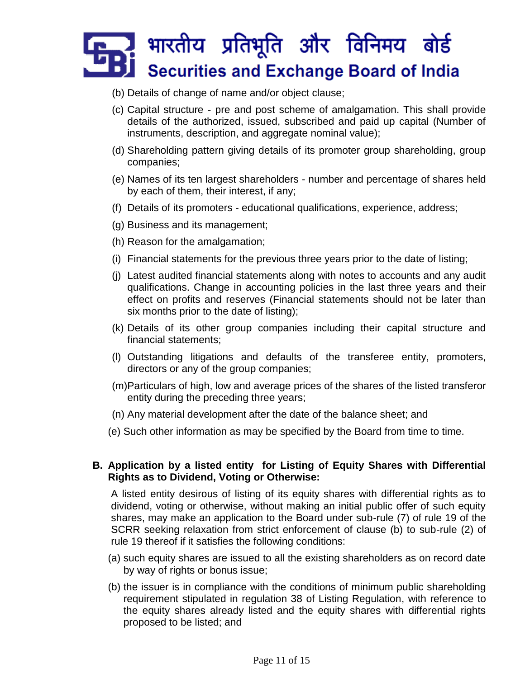- (b) Details of change of name and/or object clause;
- (c) Capital structure pre and post scheme of amalgamation. This shall provide details of the authorized, issued, subscribed and paid up capital (Number of instruments, description, and aggregate nominal value);
- (d) Shareholding pattern giving details of its promoter group shareholding, group companies;
- (e) Names of its ten largest shareholders number and percentage of shares held by each of them, their interest, if any;
- (f) Details of its promoters educational qualifications, experience, address;
- (g) Business and its management;
- (h) Reason for the amalgamation;
- (i) Financial statements for the previous three years prior to the date of listing;
- (j) Latest audited financial statements along with notes to accounts and any audit qualifications. Change in accounting policies in the last three years and their effect on profits and reserves (Financial statements should not be later than six months prior to the date of listing);
- (k) Details of its other group companies including their capital structure and financial statements;
- (l) Outstanding litigations and defaults of the transferee entity, promoters, directors or any of the group companies;
- (m)Particulars of high, low and average prices of the shares of the listed transferor entity during the preceding three years;
- (n) Any material development after the date of the balance sheet; and
- (e) Such other information as may be specified by the Board from time to time.

## **B. Application by a listed entity for Listing of Equity Shares with Differential Rights as to Dividend, Voting or Otherwise:**

A listed entity desirous of listing of its equity shares with differential rights as to dividend, voting or otherwise, without making an initial public offer of such equity shares, may make an application to the Board under sub-rule (7) of rule 19 of the SCRR seeking relaxation from strict enforcement of clause (b) to sub-rule (2) of rule 19 thereof if it satisfies the following conditions:

- (a) such equity shares are issued to all the existing shareholders as on record date by way of rights or bonus issue;
- (b) the issuer is in compliance with the conditions of minimum public shareholding requirement stipulated in regulation 38 of Listing Regulation, with reference to the equity shares already listed and the equity shares with differential rights proposed to be listed; and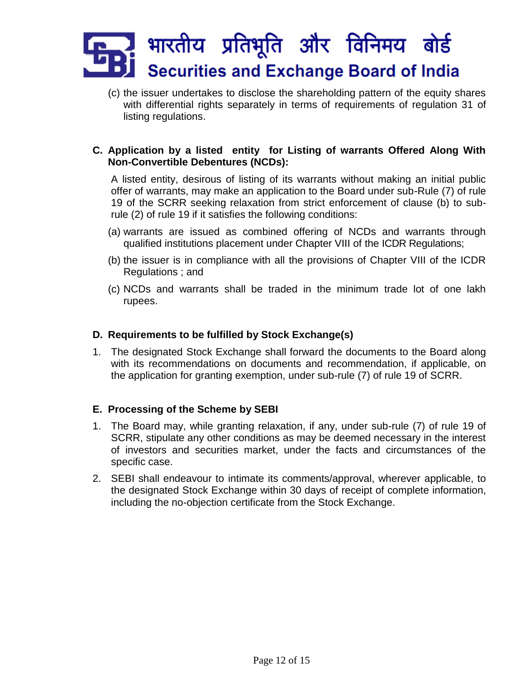(c) the issuer undertakes to disclose the shareholding pattern of the equity shares with differential rights separately in terms of requirements of regulation 31 of listing regulations.

# **C. Application by a listed entity for Listing of warrants Offered Along With Non-Convertible Debentures (NCDs):**

A listed entity, desirous of listing of its warrants without making an initial public offer of warrants, may make an application to the Board under sub-Rule (7) of rule 19 of the SCRR seeking relaxation from strict enforcement of clause (b) to subrule (2) of rule 19 if it satisfies the following conditions:

- (a) warrants are issued as combined offering of NCDs and warrants through qualified institutions placement under Chapter VIII of the ICDR Regulations;
- (b) the issuer is in compliance with all the provisions of Chapter VIII of the ICDR Regulations ; and
- (c) NCDs and warrants shall be traded in the minimum trade lot of one lakh rupees.

# **D. Requirements to be fulfilled by Stock Exchange(s)**

1. The designated Stock Exchange shall forward the documents to the Board along with its recommendations on documents and recommendation, if applicable, on the application for granting exemption, under sub-rule (7) of rule 19 of SCRR.

## **E. Processing of the Scheme by SEBI**

- 1. The Board may, while granting relaxation, if any, under sub-rule (7) of rule 19 of SCRR, stipulate any other conditions as may be deemed necessary in the interest of investors and securities market, under the facts and circumstances of the specific case.
- 2. SEBI shall endeavour to intimate its comments/approval, wherever applicable, to the designated Stock Exchange within 30 days of receipt of complete information, including the no-objection certificate from the Stock Exchange.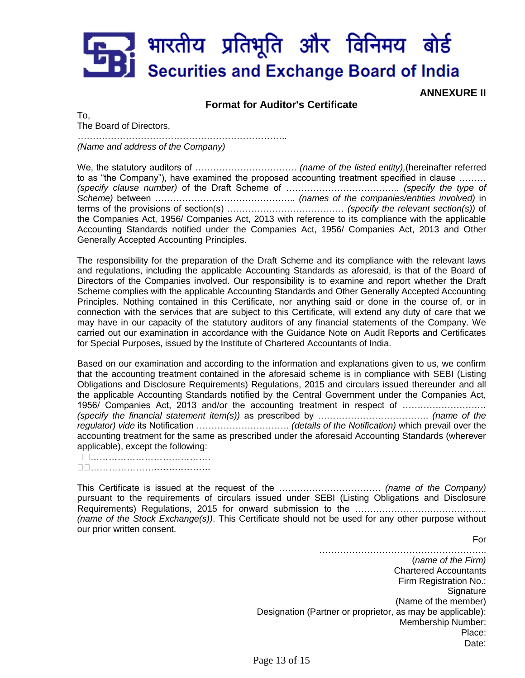**ANNEXURE II**

#### **Format for Auditor's Certificate**

To, The Board of Directors,

*…………………………………………………………….*

*(Name and address of the Company)*

We, the statutory auditors of ……………………………. *(name of the listed entity),*(hereinafter referred to as "the Company"), have examined the proposed accounting treatment specified in clause ……… *(specify clause number)* of the Draft Scheme of ……………………………….. *(specify the type of Scheme)* between ……………………………………….. *(names of the companies/entities involved)* in terms of the provisions of section(s) ………………………………… *(specify the relevant section(s))* of the Companies Act, 1956/ Companies Act, 2013 with reference to its compliance with the applicable Accounting Standards notified under the Companies Act, 1956/ Companies Act, 2013 and Other Generally Accepted Accounting Principles.

The responsibility for the preparation of the Draft Scheme and its compliance with the relevant laws and regulations, including the applicable Accounting Standards as aforesaid, is that of the Board of Directors of the Companies involved. Our responsibility is to examine and report whether the Draft Scheme complies with the applicable Accounting Standards and Other Generally Accepted Accounting Principles. Nothing contained in this Certificate, nor anything said or done in the course of, or in connection with the services that are subject to this Certificate, will extend any duty of care that we may have in our capacity of the statutory auditors of any financial statements of the Company. We carried out our examination in accordance with the Guidance Note on Audit Reports and Certificates for Special Purposes, issued by the Institute of Chartered Accountants of India.

Based on our examination and according to the information and explanations given to us, we confirm that the accounting treatment contained in the aforesaid scheme is in compliance with SEBI (Listing Obligations and Disclosure Requirements) Regulations, 2015 and circulars issued thereunder and all the applicable Accounting Standards notified by the Central Government under the Companies Act, 1956/ Companies Act, 2013 and/or the accounting treatment in respect of ………………………. *(specify the financial statement item(s))* as prescribed by ………………………………. *(name of the regulator) vide* its Notification …………………………. *(details of the Notification)* which prevail over the accounting treatment for the same as prescribed under the aforesaid Accounting Standards (wherever applicable), except the following:

□□…………………………………

This Certificate is issued at the request of the ……………………………. *(name of the Company)*  pursuant to the requirements of circulars issued under SEBI (Listing Obligations and Disclosure Requirements) Regulations, 2015 for onward submission to the …………………………………….. *(name of the Stock Exchange(s))*. This Certificate should not be used for any other purpose without our prior written consent.

For

……………………………………………….. (*name of the Firm)* Chartered Accountants Firm Registration No.: Signature (Name of the member) Designation (Partner or proprietor, as may be applicable): Membership Number: Place: Date: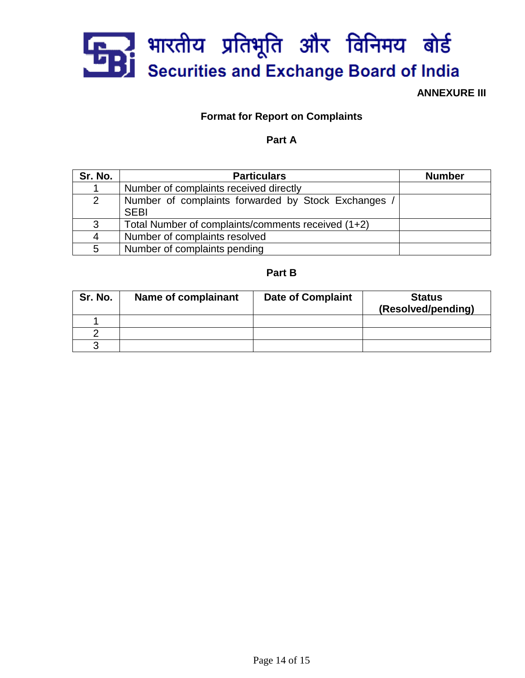

**ANNEXURE III**

# **Format for Report on Complaints**

# **Part A**

| Sr. No.        | <b>Particulars</b>                                               | <b>Number</b> |
|----------------|------------------------------------------------------------------|---------------|
|                | Number of complaints received directly                           |               |
| $\overline{2}$ | Number of complaints forwarded by Stock Exchanges<br><b>SEBI</b> |               |
| 3              | Total Number of complaints/comments received (1+2)               |               |
| 4              | Number of complaints resolved                                    |               |
| 5              | Number of complaints pending                                     |               |

#### **Part B**

| Sr. No. | Name of complainant | <b>Date of Complaint</b> | <b>Status</b><br>(Resolved/pending) |
|---------|---------------------|--------------------------|-------------------------------------|
|         |                     |                          |                                     |
|         |                     |                          |                                     |
|         |                     |                          |                                     |